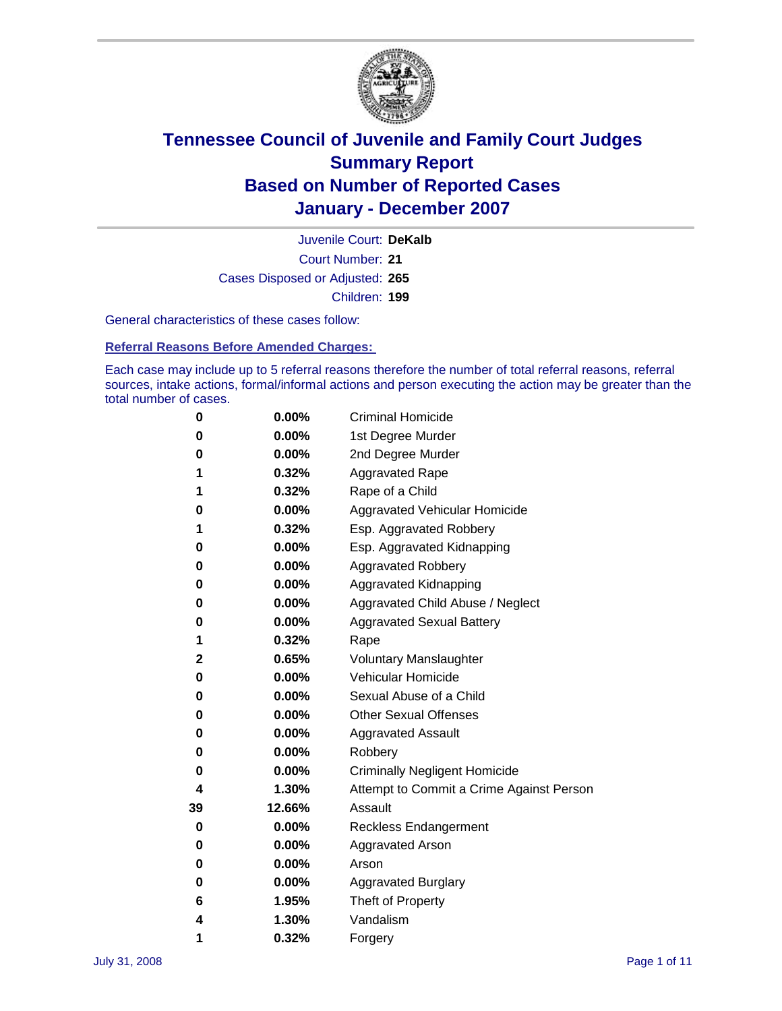

Court Number: **21** Juvenile Court: **DeKalb** Cases Disposed or Adjusted: **265** Children: **199**

General characteristics of these cases follow:

**Referral Reasons Before Amended Charges:** 

Each case may include up to 5 referral reasons therefore the number of total referral reasons, referral sources, intake actions, formal/informal actions and person executing the action may be greater than the total number of cases.

| 0  | 0.00%    | <b>Criminal Homicide</b>                 |
|----|----------|------------------------------------------|
| 0  | 0.00%    | 1st Degree Murder                        |
| 0  | $0.00\%$ | 2nd Degree Murder                        |
| 1  | 0.32%    | <b>Aggravated Rape</b>                   |
| 1  | 0.32%    | Rape of a Child                          |
| 0  | 0.00%    | Aggravated Vehicular Homicide            |
| 1  | 0.32%    | Esp. Aggravated Robbery                  |
| 0  | 0.00%    | Esp. Aggravated Kidnapping               |
| 0  | 0.00%    | <b>Aggravated Robbery</b>                |
| 0  | 0.00%    | Aggravated Kidnapping                    |
| 0  | 0.00%    | Aggravated Child Abuse / Neglect         |
| 0  | $0.00\%$ | <b>Aggravated Sexual Battery</b>         |
| 1  | 0.32%    | Rape                                     |
| 2  | 0.65%    | <b>Voluntary Manslaughter</b>            |
| 0  | 0.00%    | Vehicular Homicide                       |
| 0  | 0.00%    | Sexual Abuse of a Child                  |
| 0  | 0.00%    | <b>Other Sexual Offenses</b>             |
| 0  | 0.00%    | <b>Aggravated Assault</b>                |
| 0  | $0.00\%$ | Robbery                                  |
| 0  | 0.00%    | <b>Criminally Negligent Homicide</b>     |
| 4  | 1.30%    | Attempt to Commit a Crime Against Person |
| 39 | 12.66%   | Assault                                  |
| 0  | 0.00%    | <b>Reckless Endangerment</b>             |
| 0  | 0.00%    | Aggravated Arson                         |
| 0  | 0.00%    | Arson                                    |
| 0  | 0.00%    | <b>Aggravated Burglary</b>               |
| 6  | 1.95%    | Theft of Property                        |
| 4  | 1.30%    | Vandalism                                |
| 1  | 0.32%    | Forgery                                  |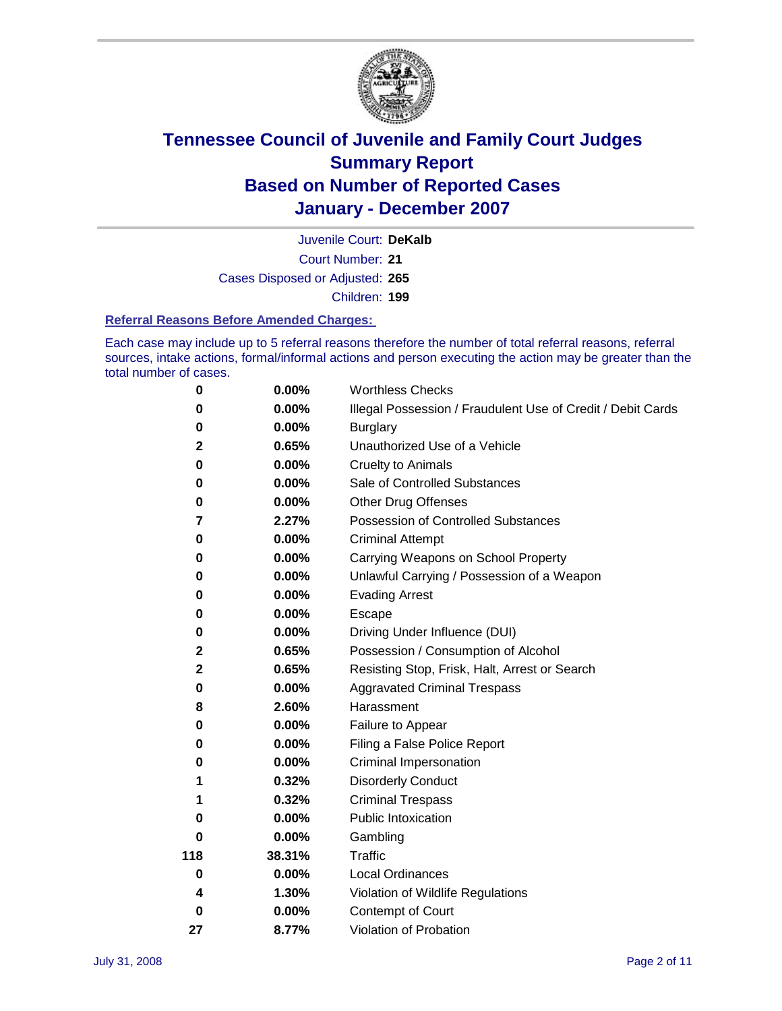

Court Number: **21** Juvenile Court: **DeKalb** Cases Disposed or Adjusted: **265** Children: **199**

#### **Referral Reasons Before Amended Charges:**

Each case may include up to 5 referral reasons therefore the number of total referral reasons, referral sources, intake actions, formal/informal actions and person executing the action may be greater than the total number of cases.

| 0           | 0.00%    | <b>Worthless Checks</b>                                     |
|-------------|----------|-------------------------------------------------------------|
| 0           | 0.00%    | Illegal Possession / Fraudulent Use of Credit / Debit Cards |
| 0           | 0.00%    | <b>Burglary</b>                                             |
| $\mathbf 2$ | 0.65%    | Unauthorized Use of a Vehicle                               |
| 0           | 0.00%    | <b>Cruelty to Animals</b>                                   |
| 0           | $0.00\%$ | Sale of Controlled Substances                               |
| 0           | 0.00%    | <b>Other Drug Offenses</b>                                  |
| 7           | 2.27%    | <b>Possession of Controlled Substances</b>                  |
| 0           | 0.00%    | <b>Criminal Attempt</b>                                     |
| 0           | 0.00%    | Carrying Weapons on School Property                         |
| 0           | 0.00%    | Unlawful Carrying / Possession of a Weapon                  |
| 0           | 0.00%    | <b>Evading Arrest</b>                                       |
| 0           | 0.00%    | Escape                                                      |
| 0           | 0.00%    | Driving Under Influence (DUI)                               |
| $\mathbf 2$ | 0.65%    | Possession / Consumption of Alcohol                         |
| $\mathbf 2$ | 0.65%    | Resisting Stop, Frisk, Halt, Arrest or Search               |
| 0           | $0.00\%$ | <b>Aggravated Criminal Trespass</b>                         |
| 8           | 2.60%    | Harassment                                                  |
| 0           | $0.00\%$ | Failure to Appear                                           |
| 0           | 0.00%    | Filing a False Police Report                                |
| 0           | 0.00%    | Criminal Impersonation                                      |
|             | 0.32%    | <b>Disorderly Conduct</b>                                   |
| 1           | 0.32%    | <b>Criminal Trespass</b>                                    |
| 0           | 0.00%    | <b>Public Intoxication</b>                                  |
| 0           | 0.00%    | Gambling                                                    |
| 118         | 38.31%   | Traffic                                                     |
| $\mathbf 0$ | $0.00\%$ | <b>Local Ordinances</b>                                     |
| 4           | 1.30%    | Violation of Wildlife Regulations                           |
| 0           | 0.00%    | Contempt of Court                                           |
| 27          | 8.77%    | Violation of Probation                                      |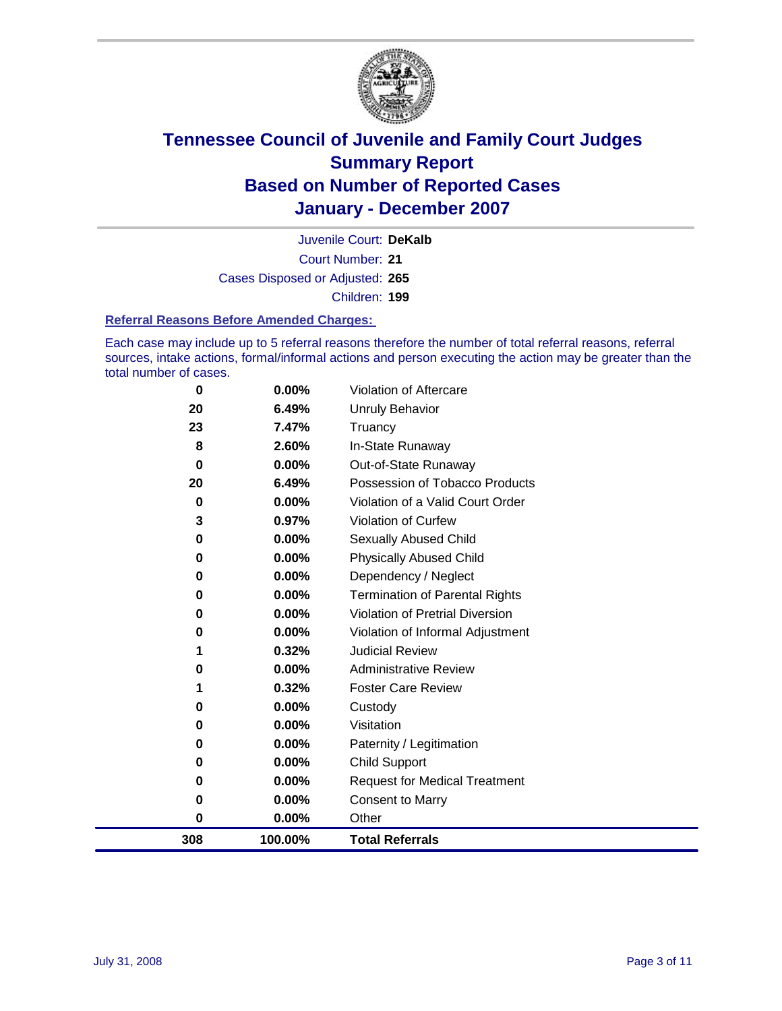

Court Number: **21** Juvenile Court: **DeKalb** Cases Disposed or Adjusted: **265** Children: **199**

#### **Referral Reasons Before Amended Charges:**

Each case may include up to 5 referral reasons therefore the number of total referral reasons, referral sources, intake actions, formal/informal actions and person executing the action may be greater than the total number of cases.

| $\bf{0}$ | 0.00%    | Violation of Aftercare                 |
|----------|----------|----------------------------------------|
| 20       | 6.49%    | Unruly Behavior                        |
| 23       | 7.47%    | Truancy                                |
| 8        | 2.60%    | In-State Runaway                       |
| $\bf{0}$ | $0.00\%$ | Out-of-State Runaway                   |
| 20       | 6.49%    | Possession of Tobacco Products         |
| 0        | 0.00%    | Violation of a Valid Court Order       |
| 3        | 0.97%    | Violation of Curfew                    |
| 0        | 0.00%    | Sexually Abused Child                  |
| 0        | 0.00%    | <b>Physically Abused Child</b>         |
| 0        | 0.00%    | Dependency / Neglect                   |
| $\bf{0}$ | 0.00%    | <b>Termination of Parental Rights</b>  |
| 0        | 0.00%    | <b>Violation of Pretrial Diversion</b> |
| 0        | 0.00%    | Violation of Informal Adjustment       |
|          | 0.32%    | <b>Judicial Review</b>                 |
| 0        | 0.00%    | <b>Administrative Review</b>           |
|          | 0.32%    | <b>Foster Care Review</b>              |
| 0        | 0.00%    | Custody                                |
| 0        | 0.00%    | Visitation                             |
| 0        | 0.00%    | Paternity / Legitimation               |
| 0        | 0.00%    | <b>Child Support</b>                   |
| 0        | 0.00%    | <b>Request for Medical Treatment</b>   |
| $\bf{0}$ | 0.00%    | <b>Consent to Marry</b>                |
| 0        | 0.00%    | Other                                  |
| 308      | 100.00%  | <b>Total Referrals</b>                 |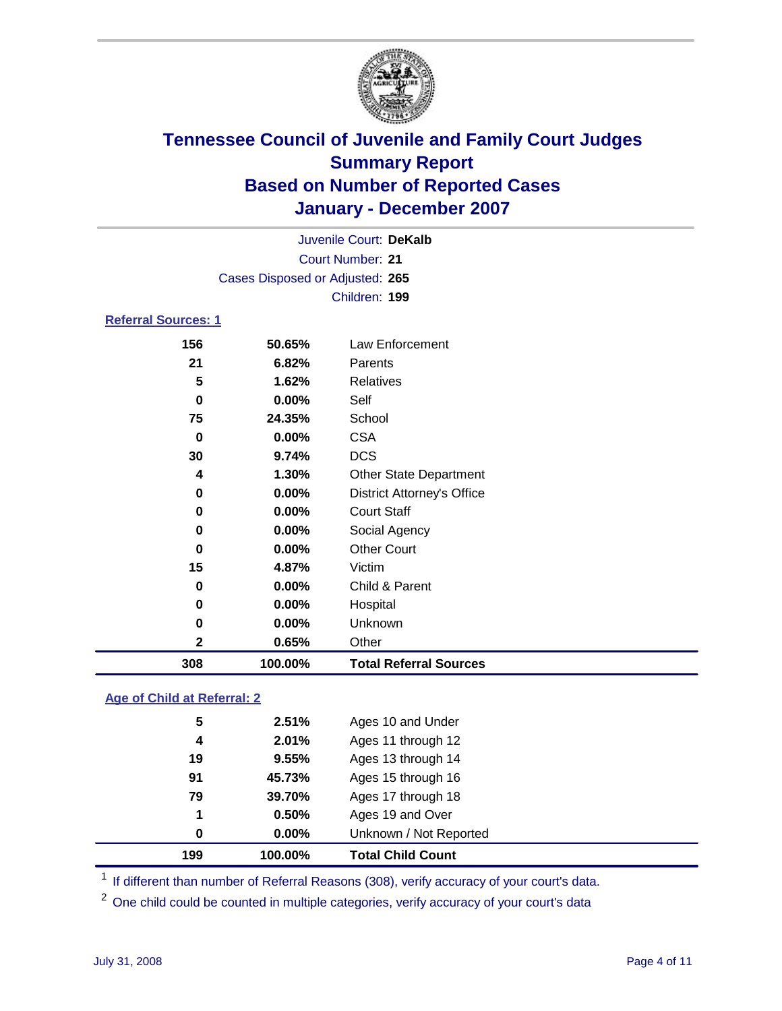

|                            |                                 | Juvenile Court: DeKalb |  |  |  |  |  |
|----------------------------|---------------------------------|------------------------|--|--|--|--|--|
|                            | Court Number: 21                |                        |  |  |  |  |  |
|                            | Cases Disposed or Adjusted: 265 |                        |  |  |  |  |  |
|                            | Children: 199                   |                        |  |  |  |  |  |
| <b>Referral Sources: 1</b> |                                 |                        |  |  |  |  |  |
| 156                        | 50.65%                          | Law Enforcement        |  |  |  |  |  |

| 308          | 100.00% | <b>Total Referral Sources</b>     |  |
|--------------|---------|-----------------------------------|--|
| $\mathbf{2}$ | 0.65%   | Other                             |  |
| 0            | 0.00%   | Unknown                           |  |
| 0            | 0.00%   | Hospital                          |  |
| 0            | 0.00%   | Child & Parent                    |  |
| 15           | 4.87%   | Victim                            |  |
| 0            | 0.00%   | <b>Other Court</b>                |  |
| 0            | 0.00%   | Social Agency                     |  |
| 0            | 0.00%   | <b>Court Staff</b>                |  |
| 0            | 0.00%   | <b>District Attorney's Office</b> |  |
| 4            | 1.30%   | <b>Other State Department</b>     |  |
| 30           | 9.74%   | <b>DCS</b>                        |  |
| 0            | 0.00%   | <b>CSA</b>                        |  |
| 75           | 24.35%  | School                            |  |
| 0            | 0.00%   | Self                              |  |
| 5            | 1.62%   | Relatives                         |  |
| 21           | 6.82%   | Parents                           |  |
|              |         |                                   |  |

#### **Age of Child at Referral: 2**

| 199 | 100.00% | <b>Total Child Count</b> |
|-----|---------|--------------------------|
| 0   | 0.00%   | Unknown / Not Reported   |
| 1   | 0.50%   | Ages 19 and Over         |
| 79  | 39.70%  | Ages 17 through 18       |
| 91  | 45.73%  | Ages 15 through 16       |
| 19  | 9.55%   | Ages 13 through 14       |
| 4   | 2.01%   | Ages 11 through 12       |
| 5   | 2.51%   | Ages 10 and Under        |
|     |         |                          |

<sup>1</sup> If different than number of Referral Reasons (308), verify accuracy of your court's data.

One child could be counted in multiple categories, verify accuracy of your court's data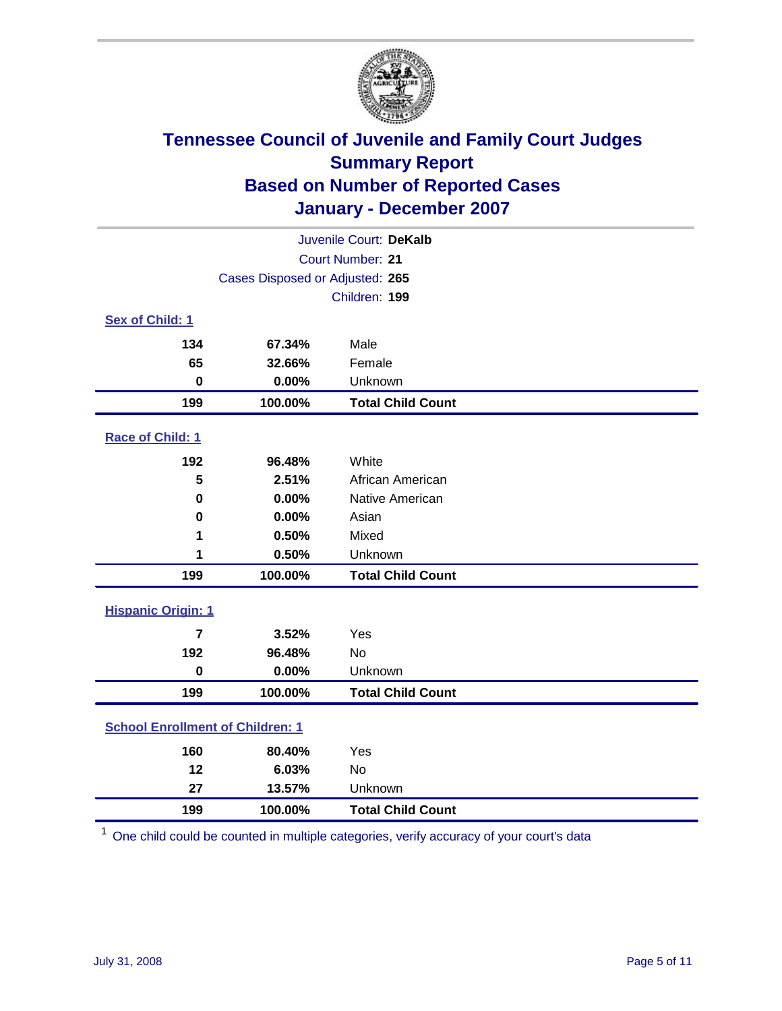

| Juvenile Court: DeKalb                  |                                 |                          |  |  |  |
|-----------------------------------------|---------------------------------|--------------------------|--|--|--|
|                                         | <b>Court Number: 21</b>         |                          |  |  |  |
|                                         | Cases Disposed or Adjusted: 265 |                          |  |  |  |
|                                         |                                 | Children: 199            |  |  |  |
| Sex of Child: 1                         |                                 |                          |  |  |  |
| 134                                     | 67.34%                          | Male                     |  |  |  |
| 65                                      | 32.66%                          | Female                   |  |  |  |
| $\bf{0}$                                | 0.00%                           | Unknown                  |  |  |  |
| 199                                     | 100.00%                         | <b>Total Child Count</b> |  |  |  |
| Race of Child: 1                        |                                 |                          |  |  |  |
| 192                                     | 96.48%                          | White                    |  |  |  |
| 5                                       | 2.51%                           | African American         |  |  |  |
| 0                                       | 0.00%                           | Native American          |  |  |  |
| 0                                       | 0.00%                           | Asian                    |  |  |  |
| 1                                       | 0.50%                           | Mixed                    |  |  |  |
| 1                                       | 0.50%                           | Unknown                  |  |  |  |
| 199                                     | 100.00%                         | <b>Total Child Count</b> |  |  |  |
| <b>Hispanic Origin: 1</b>               |                                 |                          |  |  |  |
| $\overline{\mathbf{z}}$                 | 3.52%                           | Yes                      |  |  |  |
| 192                                     | 96.48%                          | <b>No</b>                |  |  |  |
| $\mathbf 0$                             | 0.00%                           | Unknown                  |  |  |  |
| 199                                     | 100.00%                         | <b>Total Child Count</b> |  |  |  |
| <b>School Enrollment of Children: 1</b> |                                 |                          |  |  |  |
| 160                                     | 80.40%                          | Yes                      |  |  |  |
| 12                                      | 6.03%                           | No                       |  |  |  |
| 27                                      | 13.57%                          | Unknown                  |  |  |  |
| 199                                     | 100.00%                         | <b>Total Child Count</b> |  |  |  |

One child could be counted in multiple categories, verify accuracy of your court's data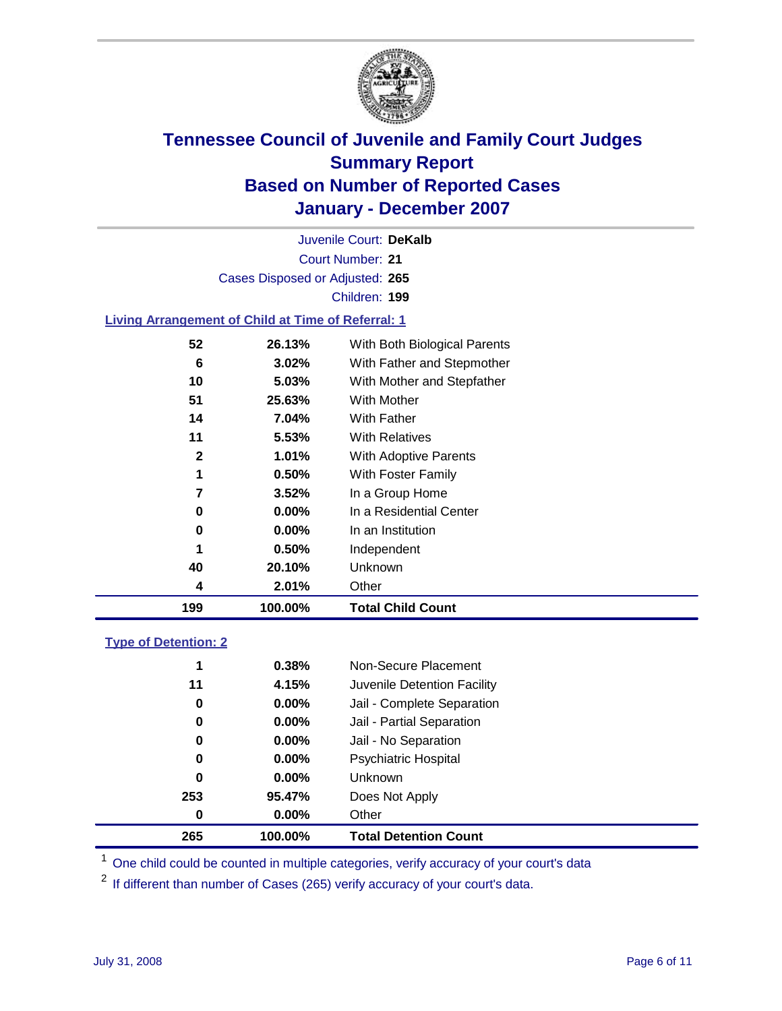

Court Number: **21** Juvenile Court: **DeKalb** Cases Disposed or Adjusted: **265** Children: **199**

#### **Living Arrangement of Child at Time of Referral: 1**

| 199          | 100.00%  | <b>Total Child Count</b>     |
|--------------|----------|------------------------------|
| 4            | 2.01%    | Other                        |
| 40           | 20.10%   | <b>Unknown</b>               |
| 1            | 0.50%    | Independent                  |
| 0            | 0.00%    | In an Institution            |
| 0            | $0.00\%$ | In a Residential Center      |
| 7            | 3.52%    | In a Group Home              |
| 1            | 0.50%    | With Foster Family           |
| $\mathbf{2}$ | 1.01%    | <b>With Adoptive Parents</b> |
| 11           | 5.53%    | <b>With Relatives</b>        |
| 14           | 7.04%    | With Father                  |
| 51           | 25.63%   | With Mother                  |
| 10           | 5.03%    | With Mother and Stepfather   |
| 6            | 3.02%    | With Father and Stepmother   |
| 52           | 26.13%   | With Both Biological Parents |
|              |          |                              |

#### **Type of Detention: 2**

| 265 | 100.00%  | <b>Total Detention Count</b> |  |
|-----|----------|------------------------------|--|
| 0   | 0.00%    | Other                        |  |
| 253 | 95.47%   | Does Not Apply               |  |
| 0   | $0.00\%$ | <b>Unknown</b>               |  |
| 0   | 0.00%    | <b>Psychiatric Hospital</b>  |  |
| 0   | $0.00\%$ | Jail - No Separation         |  |
| 0   | $0.00\%$ | Jail - Partial Separation    |  |
| 0   | $0.00\%$ | Jail - Complete Separation   |  |
| 11  | 4.15%    | Juvenile Detention Facility  |  |
| 1   | 0.38%    | Non-Secure Placement         |  |
|     |          |                              |  |

<sup>1</sup> One child could be counted in multiple categories, verify accuracy of your court's data

<sup>2</sup> If different than number of Cases (265) verify accuracy of your court's data.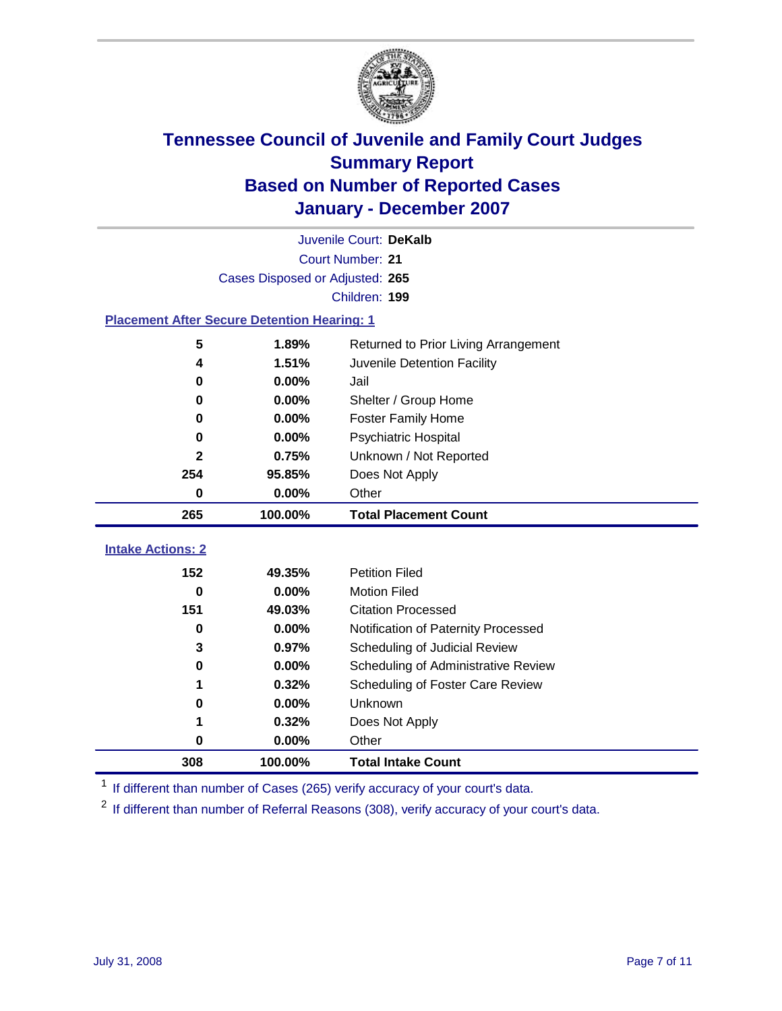

|                                                    | Juvenile Court: DeKalb |                                      |  |  |  |  |
|----------------------------------------------------|------------------------|--------------------------------------|--|--|--|--|
| Court Number: 21                                   |                        |                                      |  |  |  |  |
| Cases Disposed or Adjusted: 265                    |                        |                                      |  |  |  |  |
|                                                    | Children: 199          |                                      |  |  |  |  |
| <b>Placement After Secure Detention Hearing: 1</b> |                        |                                      |  |  |  |  |
| 5                                                  | 1.89%                  | Returned to Prior Living Arrangement |  |  |  |  |
| 4                                                  | 1.51%                  | Juvenile Detention Facility          |  |  |  |  |
| 0                                                  | 0.00%                  | Jail                                 |  |  |  |  |
| 0                                                  | 0.00%                  | Shelter / Group Home                 |  |  |  |  |
| 0                                                  | 0.00%                  | <b>Foster Family Home</b>            |  |  |  |  |
| 0                                                  | 0.00%                  | Psychiatric Hospital                 |  |  |  |  |
| 2                                                  | 0.75%                  | Unknown / Not Reported               |  |  |  |  |
| 254                                                | 95.85%                 | Does Not Apply                       |  |  |  |  |
| 0                                                  | 0.00%                  | Other                                |  |  |  |  |
| 265                                                | 100.00%                | <b>Total Placement Count</b>         |  |  |  |  |
| <b>Intake Actions: 2</b>                           |                        |                                      |  |  |  |  |
|                                                    |                        |                                      |  |  |  |  |
| 152                                                | 49.35%                 | <b>Petition Filed</b>                |  |  |  |  |
| 0                                                  | 0.00%                  | <b>Motion Filed</b>                  |  |  |  |  |
| 151                                                | 49.03%                 | <b>Citation Processed</b>            |  |  |  |  |
| 0                                                  | 0.00%                  | Notification of Paternity Processed  |  |  |  |  |
| 3                                                  | 0.97%                  | Scheduling of Judicial Review        |  |  |  |  |
| 0                                                  | 0.00%                  | Scheduling of Administrative Review  |  |  |  |  |
| 1                                                  | 0.32%                  | Scheduling of Foster Care Review     |  |  |  |  |
| 0                                                  | 0.00%                  | Unknown                              |  |  |  |  |
| 1                                                  | 0.32%                  | Does Not Apply                       |  |  |  |  |
| 0                                                  | 0.00%                  | Other                                |  |  |  |  |
| 308                                                | 100.00%                | <b>Total Intake Count</b>            |  |  |  |  |

<sup>1</sup> If different than number of Cases (265) verify accuracy of your court's data.

<sup>2</sup> If different than number of Referral Reasons (308), verify accuracy of your court's data.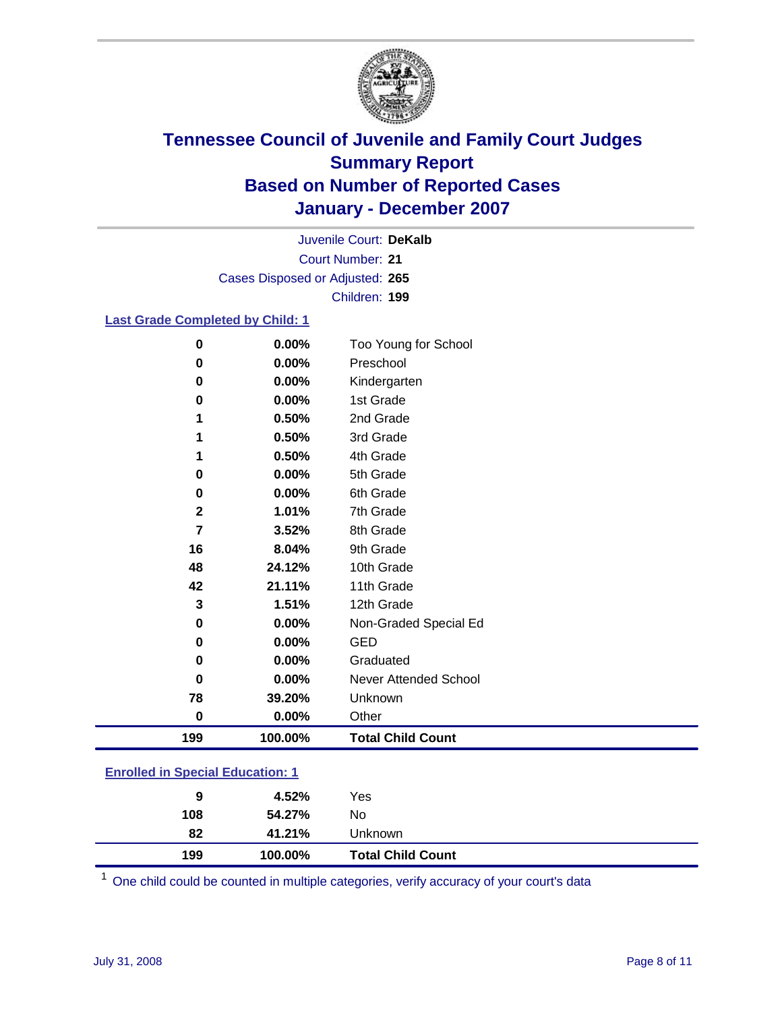

Court Number: **21** Juvenile Court: **DeKalb** Cases Disposed or Adjusted: **265** Children: **199**

#### **Last Grade Completed by Child: 1**

| 0              | 0.00%   | Too Young for School     |
|----------------|---------|--------------------------|
| 0              | 0.00%   | Preschool                |
| 0              | 0.00%   | Kindergarten             |
| 0              | 0.00%   | 1st Grade                |
|                | 0.50%   | 2nd Grade                |
|                | 0.50%   | 3rd Grade                |
|                | 0.50%   | 4th Grade                |
| 0              | 0.00%   | 5th Grade                |
| 0              | 0.00%   | 6th Grade                |
| $\mathbf 2$    | 1.01%   | 7th Grade                |
| $\overline{7}$ | 3.52%   | 8th Grade                |
| 16             | 8.04%   | 9th Grade                |
| 48             | 24.12%  | 10th Grade               |
| 42             | 21.11%  | 11th Grade               |
| 3              | 1.51%   | 12th Grade               |
| 0              | 0.00%   | Non-Graded Special Ed    |
| 0              | 0.00%   | <b>GED</b>               |
| 0              | 0.00%   | Graduated                |
| $\bf{0}$       | 0.00%   | Never Attended School    |
| 78             | 39.20%  | Unknown                  |
| 0              | 0.00%   | Other                    |
| 199            | 100.00% | <b>Total Child Count</b> |

### **Enrolled in Special Education: 1**

| 108 | 54.27%  | No                       |  |
|-----|---------|--------------------------|--|
| 82  | 41.21%  | Unknown                  |  |
| 199 | 100.00% | <b>Total Child Count</b> |  |

<sup>1</sup> One child could be counted in multiple categories, verify accuracy of your court's data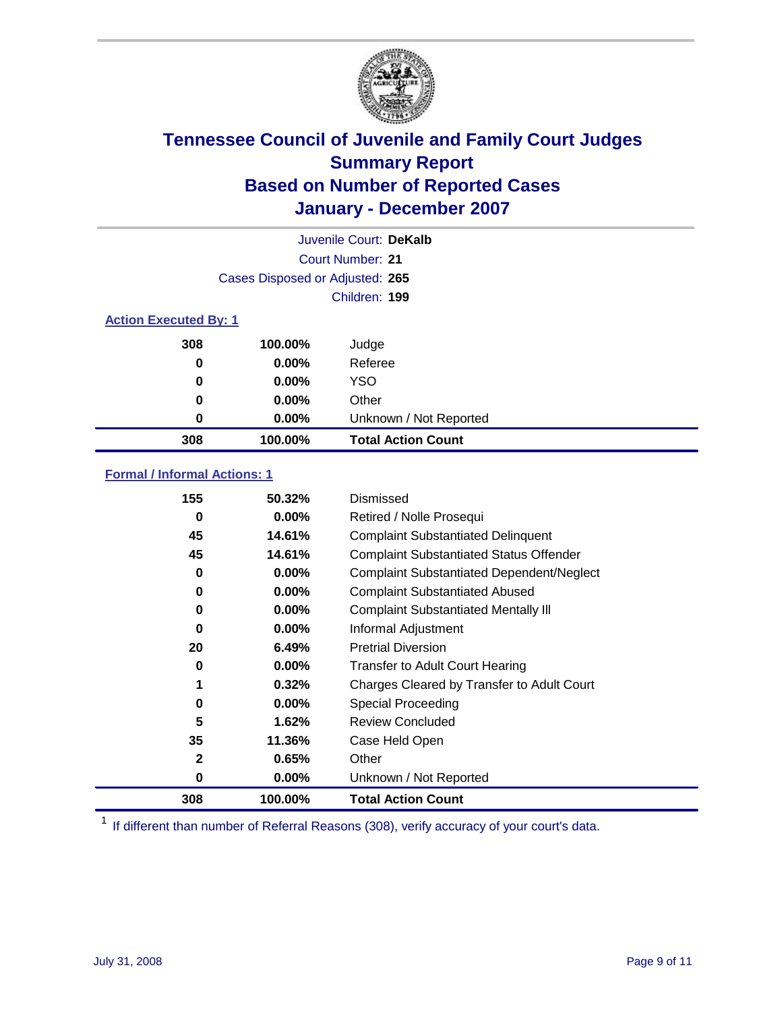

|                              |                                 | Juvenile Court: DeKalb    |
|------------------------------|---------------------------------|---------------------------|
|                              |                                 | Court Number: 21          |
|                              | Cases Disposed or Adjusted: 265 |                           |
|                              |                                 | Children: 199             |
| <b>Action Executed By: 1</b> |                                 |                           |
| 308                          | 100.00%                         | Judge                     |
| 0                            | $0.00\%$                        | Referee                   |
| 0                            | $0.00\%$                        | <b>YSO</b>                |
| 0                            | $0.00\%$                        | Other                     |
| 0                            | $0.00\%$                        | Unknown / Not Reported    |
| 308                          | 100.00%                         | <b>Total Action Count</b> |

### **Formal / Informal Actions: 1**

| 155          | 50.32%   | Dismissed                                        |
|--------------|----------|--------------------------------------------------|
| 0            | 0.00%    | Retired / Nolle Prosequi                         |
| 45           | 14.61%   | <b>Complaint Substantiated Delinquent</b>        |
| 45           | 14.61%   | <b>Complaint Substantiated Status Offender</b>   |
| 0            | 0.00%    | <b>Complaint Substantiated Dependent/Neglect</b> |
| 0            | $0.00\%$ | <b>Complaint Substantiated Abused</b>            |
| 0            | $0.00\%$ | <b>Complaint Substantiated Mentally III</b>      |
| $\bf{0}$     | $0.00\%$ | Informal Adjustment                              |
| 20           | 6.49%    | <b>Pretrial Diversion</b>                        |
| 0            | 0.00%    | <b>Transfer to Adult Court Hearing</b>           |
| 1            | 0.32%    | Charges Cleared by Transfer to Adult Court       |
| 0            | 0.00%    | Special Proceeding                               |
| 5            | 1.62%    | <b>Review Concluded</b>                          |
| 35           | 11.36%   | Case Held Open                                   |
| $\mathbf{2}$ | 0.65%    | Other                                            |
| 0            | 0.00%    | Unknown / Not Reported                           |
| 308          | 100.00%  | <b>Total Action Count</b>                        |

<sup>1</sup> If different than number of Referral Reasons (308), verify accuracy of your court's data.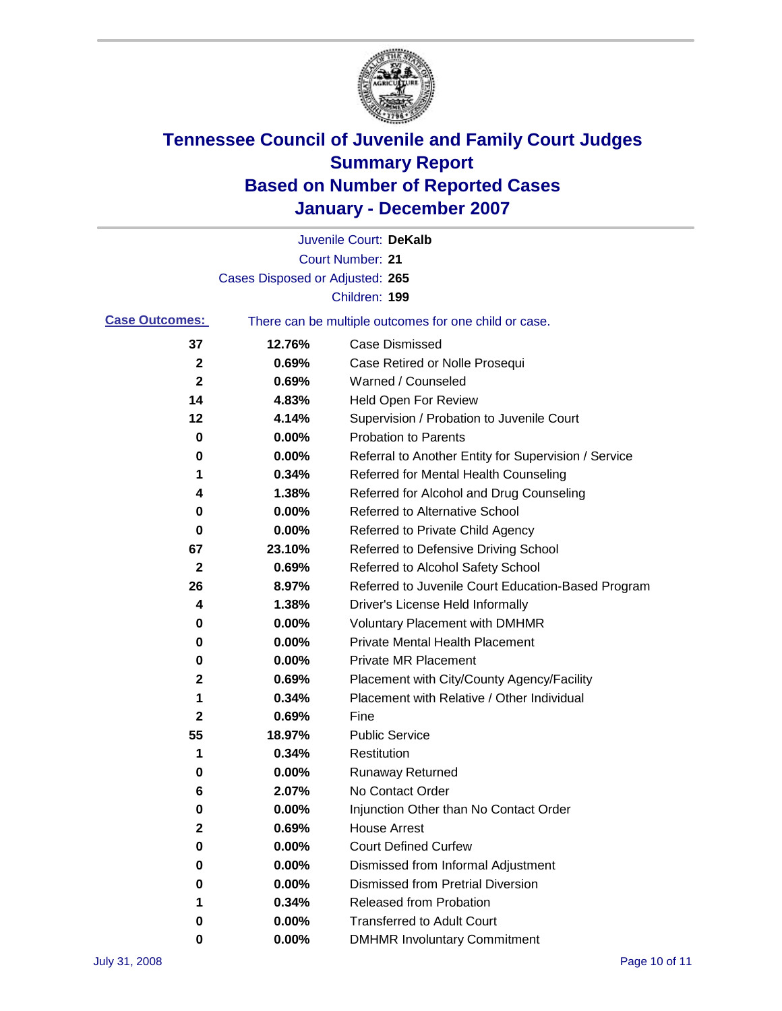

|                       |                                 | Juvenile Court: DeKalb                                |
|-----------------------|---------------------------------|-------------------------------------------------------|
|                       |                                 | <b>Court Number: 21</b>                               |
|                       | Cases Disposed or Adjusted: 265 |                                                       |
|                       |                                 | Children: 199                                         |
| <b>Case Outcomes:</b> |                                 | There can be multiple outcomes for one child or case. |
| 37                    | 12.76%                          | <b>Case Dismissed</b>                                 |
| $\mathbf{2}$          | 0.69%                           | Case Retired or Nolle Prosequi                        |
| 2                     | 0.69%                           | Warned / Counseled                                    |
| 14                    | 4.83%                           | Held Open For Review                                  |
| 12                    | 4.14%                           | Supervision / Probation to Juvenile Court             |
| 0                     | 0.00%                           | <b>Probation to Parents</b>                           |
| 0                     | 0.00%                           | Referral to Another Entity for Supervision / Service  |
| 1                     | 0.34%                           | Referred for Mental Health Counseling                 |
| 4                     | 1.38%                           | Referred for Alcohol and Drug Counseling              |
| 0                     | 0.00%                           | <b>Referred to Alternative School</b>                 |
| 0                     | 0.00%                           | Referred to Private Child Agency                      |
| 67                    | 23.10%                          | Referred to Defensive Driving School                  |
| 2                     | 0.69%                           | Referred to Alcohol Safety School                     |
| 26                    | 8.97%                           | Referred to Juvenile Court Education-Based Program    |
| 4                     | 1.38%                           | Driver's License Held Informally                      |
| 0                     | 0.00%                           | <b>Voluntary Placement with DMHMR</b>                 |
| 0                     | 0.00%                           | <b>Private Mental Health Placement</b>                |
| 0                     | 0.00%                           | <b>Private MR Placement</b>                           |
| 2                     | 0.69%                           | Placement with City/County Agency/Facility            |
| 1                     | 0.34%                           | Placement with Relative / Other Individual            |
| 2                     | 0.69%                           | Fine                                                  |
| 55                    | 18.97%                          | <b>Public Service</b>                                 |
| 1                     | 0.34%                           | Restitution                                           |
| 0                     | 0.00%                           | <b>Runaway Returned</b>                               |
| 6                     | 2.07%                           | No Contact Order                                      |
| 0                     | 0.00%                           | Injunction Other than No Contact Order                |
| 2                     | 0.69%                           | <b>House Arrest</b>                                   |
| 0                     | 0.00%                           | <b>Court Defined Curfew</b>                           |
| 0                     | 0.00%                           | Dismissed from Informal Adjustment                    |
| 0                     | 0.00%                           | <b>Dismissed from Pretrial Diversion</b>              |
| 1                     | 0.34%                           | <b>Released from Probation</b>                        |
| 0                     | 0.00%                           | <b>Transferred to Adult Court</b>                     |
| 0                     | $0.00\%$                        | <b>DMHMR Involuntary Commitment</b>                   |